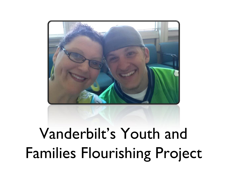

# Vanderbilt's Youth and Families Flourishing Project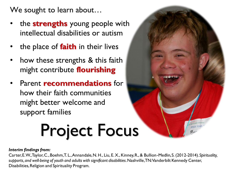We sought to learn about...

- the **strengths** young people with intellectual disabilities or autism
- the place of **faith** in their lives
- how these strengths & this faith might contribute **flourishing**
- Parent **recommendations** for how their faith communities might better welcome and support families

# Project Focus

#### *Interim findings from:*

Carter, E. W., Taylor, C., Boehm, T. L., Annandale, N. H., Liu, E. X., Kinney, R., & Bullion-Medlin, S. (2012-2014). *Spirituality, supports, and well-being of youth and adults with significant disabilities*. Nashville, TN: Vanderbilt Kennedy Center, Disabilities, Religion and Spirituality Program.

lesus loves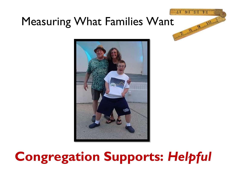## Measuring What Families Want



Both Stringer

# **Congregation Supports:** *Helpful*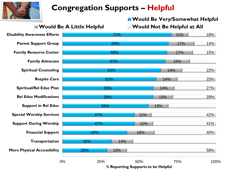

### **Congregation Supports – Helpful**

#### **E** Would Be Very/Somewhat Helpful

**Would Be A Little Helpful Would Not Be Helpful at All**



**% Reporting Supports to be Helpful**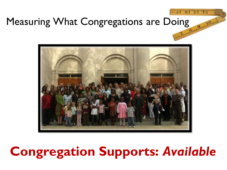### Measuring What Congregations are Doing



## **Congregation Supports:** *Available*